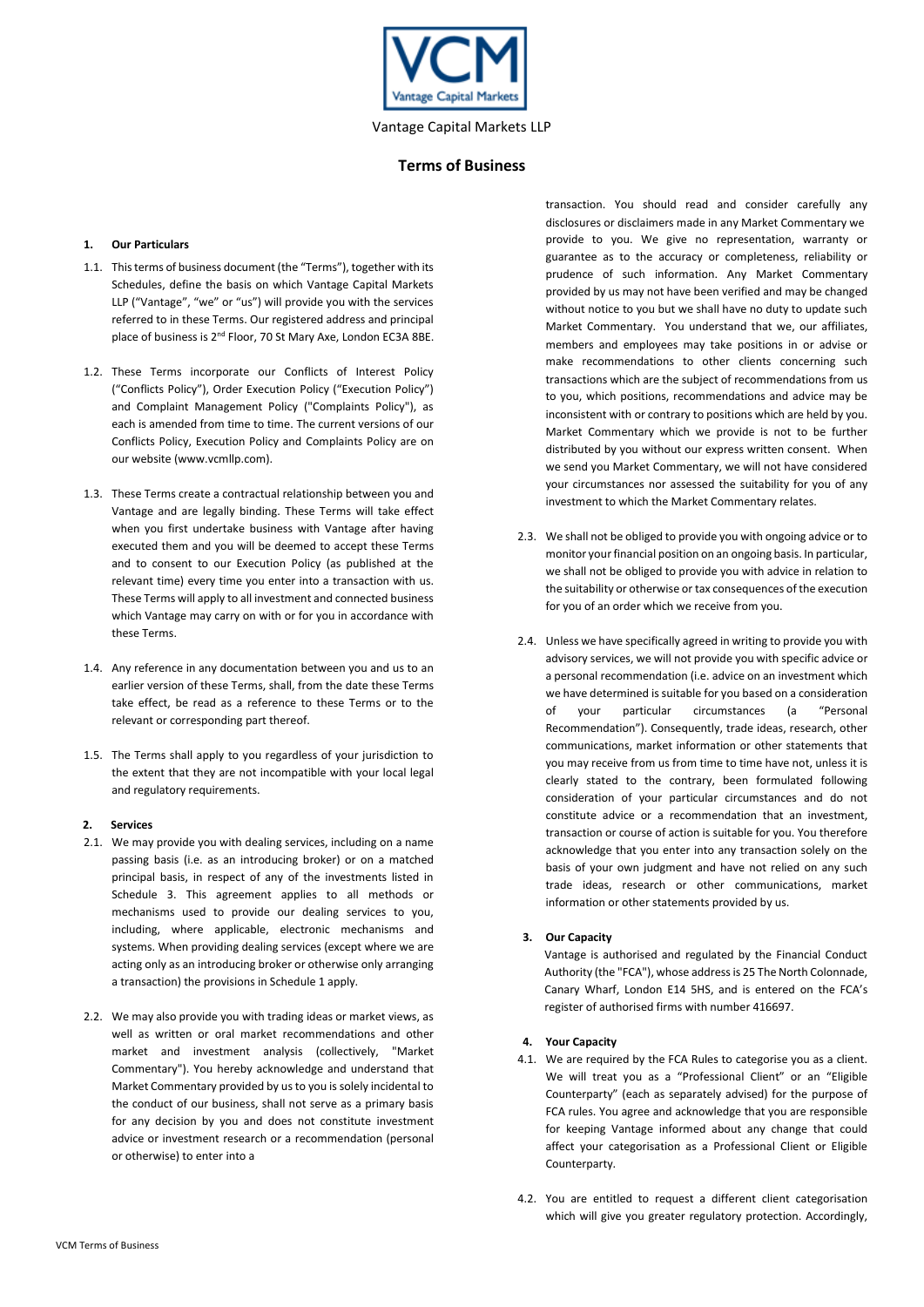

## **1. Our Particulars**

- 1.1. This terms of business document (the "Terms"), together with its Schedules, define the basis on which Vantage Capital Markets LLP ("Vantage", "we" or "us") will provide you with the services referred to in these Terms. Our registered address and principal place of business is 2<sup>nd</sup> Floor, 70 St Mary Axe, London EC3A 8BE.
- 1.2. These Terms incorporate our Conflicts of Interest Policy ("Conflicts Policy"), Order Execution Policy ("Execution Policy") and Complaint Management Policy ("Complaints Policy"), as each is amended from time to time. The current versions of our Conflicts Policy, Execution Policy and Complaints Policy are on our website (www.vcmllp.com).
- 1.3. These Terms create a contractual relationship between you and Vantage and are legally binding. These Terms will take effect when you first undertake business with Vantage after having executed them and you will be deemed to accept these Terms and to consent to our Execution Policy (as published at the relevant time) every time you enter into a transaction with us. These Terms will apply to all investment and connected business which Vantage may carry on with or for you in accordance with these Terms.
- 1.4. Any reference in any documentation between you and us to an earlier version of these Terms, shall, from the date these Terms take effect, be read as a reference to these Terms or to the relevant or corresponding part thereof.
- 1.5. The Terms shall apply to you regardless of your jurisdiction to the extent that they are not incompatible with your local legal and regulatory requirements.

#### **2. Services**

- 2.1. We may provide you with dealing services, including on a name passing basis (i.e. as an introducing broker) or on a matched principal basis, in respect of any of the investments listed in Schedule 3. This agreement applies to all methods or mechanisms used to provide our dealing services to you, including, where applicable, electronic mechanisms and systems. When providing dealing services (except where we are acting only as an introducing broker or otherwise only arranging a transaction) the provisions in Schedule 1 apply.
- 2.2. We may also provide you with trading ideas or market views, as well as written or oral market recommendations and other market and investment analysis (collectively, "Market Commentary"). You hereby acknowledge and understand that Market Commentary provided by us to you is solely incidental to the conduct of our business, shall not serve as a primary basis for any decision by you and does not constitute investment advice or investment research or a recommendation (personal or otherwise) to enter into a

transaction. You should read and consider carefully any disclosures or disclaimers made in any Market Commentary we provide to you. We give no representation, warranty or guarantee as to the accuracy or completeness, reliability or prudence of such information. Any Market Commentary provided by us may not have been verified and may be changed without notice to you but we shall have no duty to update such Market Commentary. You understand that we, our affiliates, members and employees may take positions in or advise or make recommendations to other clients concerning such transactions which are the subject of recommendations from us to you, which positions, recommendations and advice may be inconsistent with or contrary to positions which are held by you. Market Commentary which we provide is not to be further distributed by you without our express written consent. When we send you Market Commentary, we will not have considered your circumstances nor assessed the suitability for you of any investment to which the Market Commentary relates.

- 2.3. We shall not be obliged to provide you with ongoing advice or to monitor your financial position on an ongoing basis. In particular, we shall not be obliged to provide you with advice in relation to the suitability or otherwise or tax consequences of the execution for you of an order which we receive from you.
- 2.4. Unless we have specifically agreed in writing to provide you with advisory services, we will not provide you with specific advice or a personal recommendation (i.e. advice on an investment which we have determined is suitable for you based on a consideration of your particular circumstances (a "Personal Recommendation"). Consequently, trade ideas, research, other communications, market information or other statements that you may receive from us from time to time have not, unless it is clearly stated to the contrary, been formulated following consideration of your particular circumstances and do not constitute advice or a recommendation that an investment, transaction or course of action is suitable for you. You therefore acknowledge that you enter into any transaction solely on the basis of your own judgment and have not relied on any such trade ideas, research or other communications, market information or other statements provided by us.

## **3. Our Capacity**

Vantage is authorised and regulated by the Financial Conduct Authority (the "FCA"), whose address is 25 The North Colonnade, Canary Wharf, London E14 5HS, and is entered on the FCA's register of authorised firms with number 416697.

#### **4. Your Capacity**

- 4.1. We are required by the FCA Rules to categorise you as a client. We will treat you as a "Professional Client" or an "Eligible Counterparty" (each as separately advised) for the purpose of FCA rules. You agree and acknowledge that you are responsible for keeping Vantage informed about any change that could affect your categorisation as a Professional Client or Eligible Counterparty.
- 4.2. You are entitled to request a different client categorisation which will give you greater regulatory protection. Accordingly,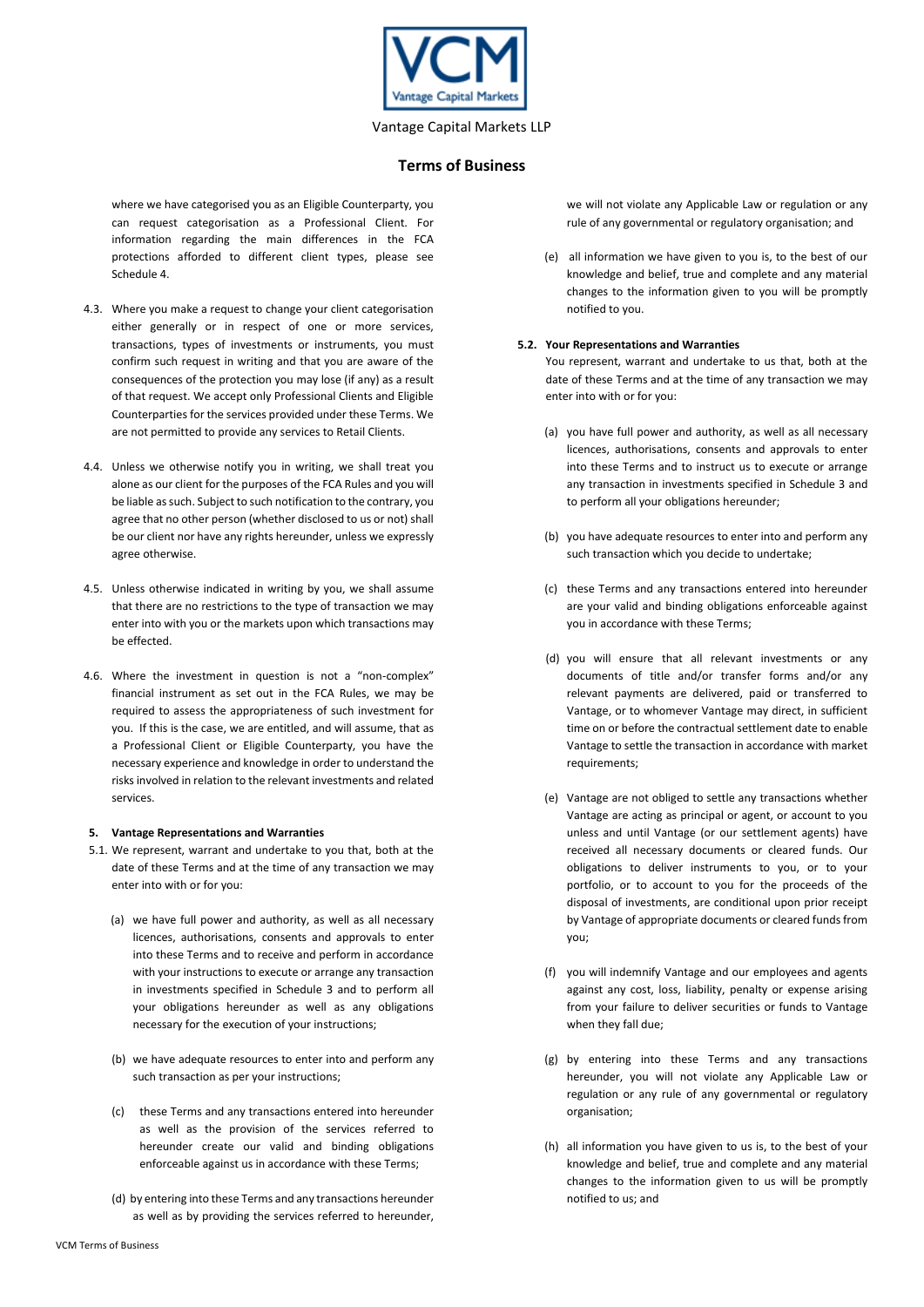

## **Terms of Business**

where we have categorised you as an Eligible Counterparty, you can request categorisation as a Professional Client. For information regarding the main differences in the FCA protections afforded to different client types, please see Schedule 4.

- 4.3. Where you make a request to change your client categorisation either generally or in respect of one or more services, transactions, types of investments or instruments, you must confirm such request in writing and that you are aware of the consequences of the protection you may lose (if any) as a result of that request. We accept only Professional Clients and Eligible Counterparties for the services provided under these Terms. We are not permitted to provide any services to Retail Clients.
- 4.4. Unless we otherwise notify you in writing, we shall treat you alone as our client for the purposes of the FCA Rules and you will be liable as such. Subject to such notification to the contrary, you agree that no other person (whether disclosed to us or not) shall be our client nor have any rights hereunder, unless we expressly agree otherwise.
- 4.5. Unless otherwise indicated in writing by you, we shall assume that there are no restrictions to the type of transaction we may enter into with you or the markets upon which transactions may be effected.
- 4.6. Where the investment in question is not a "non-complex" financial instrument as set out in the FCA Rules, we may be required to assess the appropriateness of such investment for you. If this is the case, we are entitled, and will assume, that as a Professional Client or Eligible Counterparty, you have the necessary experience and knowledge in order to understand the risks involved in relation to the relevant investments and related services.

## **5. Vantage Representations and Warranties**

- 5.1. We represent, warrant and undertake to you that, both at the date of these Terms and at the time of any transaction we may enter into with or for you:
	- (a) we have full power and authority, as well as all necessary licences, authorisations, consents and approvals to enter into these Terms and to receive and perform in accordance with your instructions to execute or arrange any transaction in investments specified in Schedule 3 and to perform all your obligations hereunder as well as any obligations necessary for the execution of your instructions;
	- (b) we have adequate resources to enter into and perform any such transaction as per your instructions;
	- (c) these Terms and any transactions entered into hereunder as well as the provision of the services referred to hereunder create our valid and binding obligations enforceable against us in accordance with these Terms;
	- (d) by entering into these Terms and any transactions hereunder as well as by providing the services referred to hereunder,

we will not violate any Applicable Law or regulation or any rule of any governmental or regulatory organisation; and

(e) all information we have given to you is, to the best of our knowledge and belief, true and complete and any material changes to the information given to you will be promptly notified to you.

#### **5.2. Your Representations and Warranties**

You represent, warrant and undertake to us that, both at the date of these Terms and at the time of any transaction we may enter into with or for you:

- (a) you have full power and authority, as well as all necessary licences, authorisations, consents and approvals to enter into these Terms and to instruct us to execute or arrange any transaction in investments specified in Schedule 3 and to perform all your obligations hereunder;
- (b) you have adequate resources to enter into and perform any such transaction which you decide to undertake;
- (c) these Terms and any transactions entered into hereunder are your valid and binding obligations enforceable against you in accordance with these Terms;
- (d) you will ensure that all relevant investments or any documents of title and/or transfer forms and/or any relevant payments are delivered, paid or transferred to Vantage, or to whomever Vantage may direct, in sufficient time on or before the contractual settlement date to enable Vantage to settle the transaction in accordance with market requirements;
- (e) Vantage are not obliged to settle any transactions whether Vantage are acting as principal or agent, or account to you unless and until Vantage (or our settlement agents) have received all necessary documents or cleared funds. Our obligations to deliver instruments to you, or to your portfolio, or to account to you for the proceeds of the disposal of investments, are conditional upon prior receipt by Vantage of appropriate documents or cleared funds from you;
- (f) you will indemnify Vantage and our employees and agents against any cost, loss, liability, penalty or expense arising from your failure to deliver securities or funds to Vantage when they fall due;
- (g) by entering into these Terms and any transactions hereunder, you will not violate any Applicable Law or regulation or any rule of any governmental or regulatory organisation;
- (h) all information you have given to us is, to the best of your knowledge and belief, true and complete and any material changes to the information given to us will be promptly notified to us; and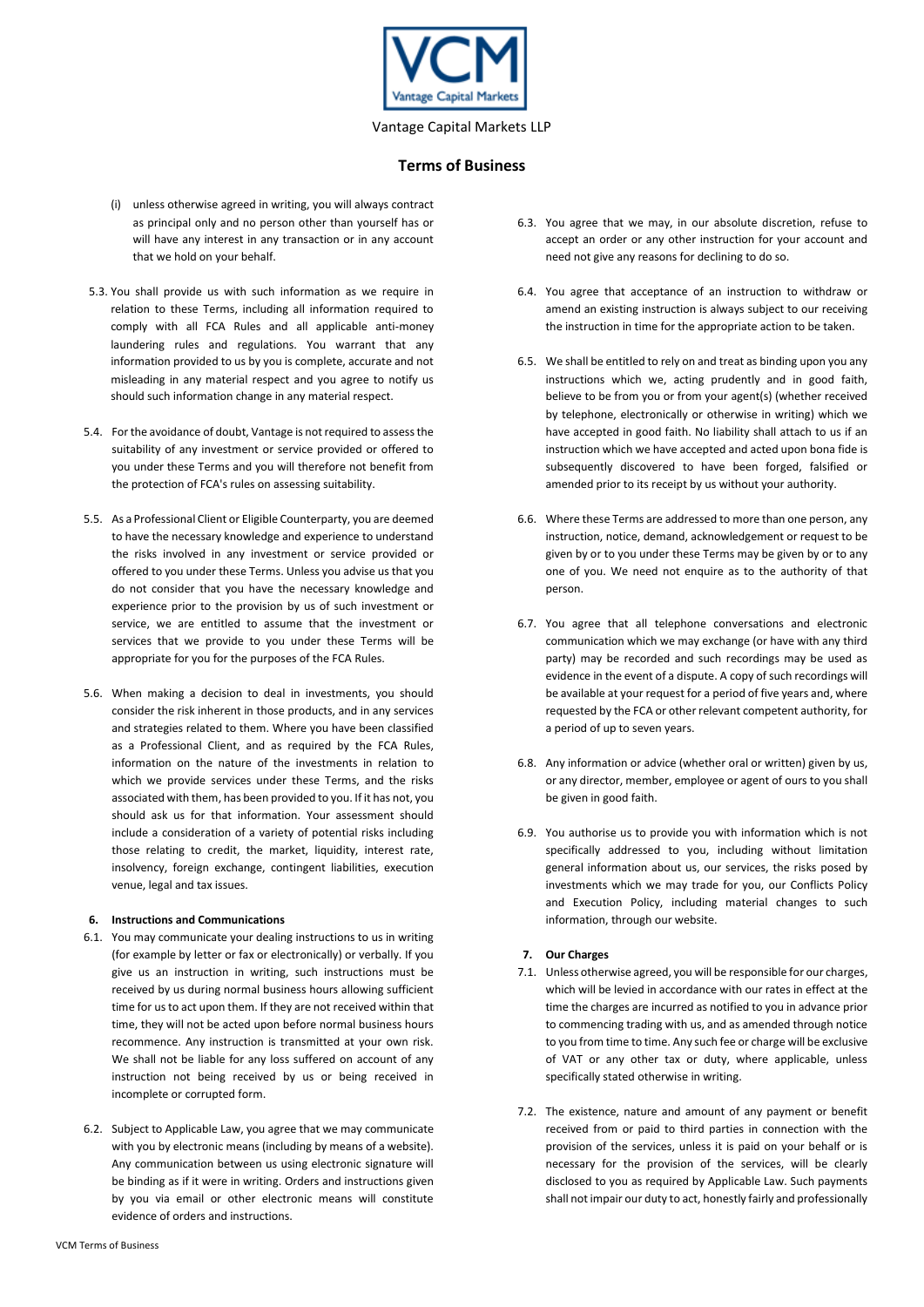

- (i) unless otherwise agreed in writing, you will always contract as principal only and no person other than yourself has or will have any interest in any transaction or in any account that we hold on your behalf.
- 5.3. You shall provide us with such information as we require in relation to these Terms, including all information required to comply with all FCA Rules and all applicable anti-money laundering rules and regulations. You warrant that any information provided to us by you is complete, accurate and not misleading in any material respect and you agree to notify us should such information change in any material respect.
- 5.4. For the avoidance of doubt, Vantage is not required to assess the suitability of any investment or service provided or offered to you under these Terms and you will therefore not benefit from the protection of FCA's rules on assessing suitability.
- 5.5. As a Professional Client or Eligible Counterparty, you are deemed to have the necessary knowledge and experience to understand the risks involved in any investment or service provided or offered to you under these Terms. Unless you advise us that you do not consider that you have the necessary knowledge and experience prior to the provision by us of such investment or service, we are entitled to assume that the investment or services that we provide to you under these Terms will be appropriate for you for the purposes of the FCA Rules.
- 5.6. When making a decision to deal in investments, you should consider the risk inherent in those products, and in any services and strategies related to them. Where you have been classified as a Professional Client, and as required by the FCA Rules, information on the nature of the investments in relation to which we provide services under these Terms, and the risks associated with them, has been provided to you. If it has not, you should ask us for that information. Your assessment should include a consideration of a variety of potential risks including those relating to credit, the market, liquidity, interest rate, insolvency, foreign exchange, contingent liabilities, execution venue, legal and tax issues.

#### **6. Instructions and Communications**

- 6.1. You may communicate your dealing instructions to us in writing (for example by letter or fax or electronically) or verbally. If you give us an instruction in writing, such instructions must be received by us during normal business hours allowing sufficient time for us to act upon them. If they are not received within that time, they will not be acted upon before normal business hours recommence. Any instruction is transmitted at your own risk. We shall not be liable for any loss suffered on account of any instruction not being received by us or being received in incomplete or corrupted form.
- 6.2. Subject to Applicable Law, you agree that we may communicate with you by electronic means (including by means of a website). Any communication between us using electronic signature will be binding as if it were in writing. Orders and instructions given by you via email or other electronic means will constitute evidence of orders and instructions.
- 6.3. You agree that we may, in our absolute discretion, refuse to accept an order or any other instruction for your account and need not give any reasons for declining to do so.
- 6.4. You agree that acceptance of an instruction to withdraw or amend an existing instruction is always subject to our receiving the instruction in time for the appropriate action to be taken.
- 6.5. We shall be entitled to rely on and treat as binding upon you any instructions which we, acting prudently and in good faith, believe to be from you or from your agent(s) (whether received by telephone, electronically or otherwise in writing) which we have accepted in good faith. No liability shall attach to us if an instruction which we have accepted and acted upon bona fide is subsequently discovered to have been forged, falsified or amended prior to its receipt by us without your authority.
- 6.6. Where these Terms are addressed to more than one person, any instruction, notice, demand, acknowledgement or request to be given by or to you under these Terms may be given by or to any one of you. We need not enquire as to the authority of that person.
- 6.7. You agree that all telephone conversations and electronic communication which we may exchange (or have with any third party) may be recorded and such recordings may be used as evidence in the event of a dispute. A copy of such recordings will be available at your request for a period of five years and, where requested by the FCA or other relevant competent authority, for a period of up to seven years.
- 6.8. Any information or advice (whether oral or written) given by us, or any director, member, employee or agent of ours to you shall be given in good faith.
- 6.9. You authorise us to provide you with information which is not specifically addressed to you, including without limitation general information about us, our services, the risks posed by investments which we may trade for you, our Conflicts Policy and Execution Policy, including material changes to such information, through our website.

## **7. Our Charges**

- 7.1. Unless otherwise agreed, you will be responsible for our charges, which will be levied in accordance with our rates in effect at the time the charges are incurred as notified to you in advance prior to commencing trading with us, and as amended through notice to you from time to time. Any such fee or charge will be exclusive of VAT or any other tax or duty, where applicable, unless specifically stated otherwise in writing.
- 7.2. The existence, nature and amount of any payment or benefit received from or paid to third parties in connection with the provision of the services, unless it is paid on your behalf or is necessary for the provision of the services, will be clearly disclosed to you as required by Applicable Law. Such payments shall not impair our duty to act, honestly fairly and professionally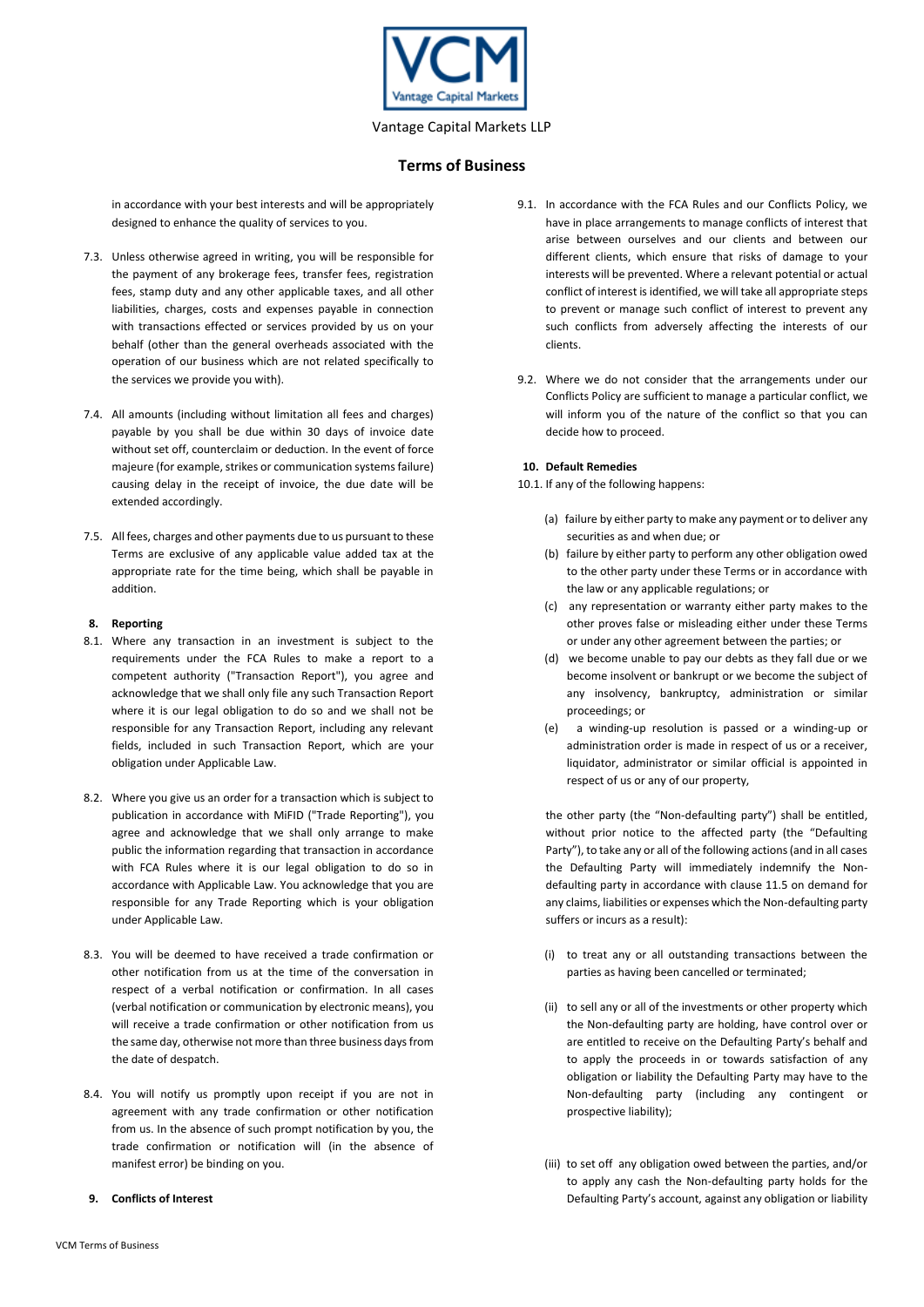

## **Terms of Business**

in accordance with your best interests and will be appropriately designed to enhance the quality of services to you.

- 7.3. Unless otherwise agreed in writing, you will be responsible for the payment of any brokerage fees, transfer fees, registration fees, stamp duty and any other applicable taxes, and all other liabilities, charges, costs and expenses payable in connection with transactions effected or services provided by us on your behalf (other than the general overheads associated with the operation of our business which are not related specifically to the services we provide you with).
- 7.4. All amounts (including without limitation all fees and charges) payable by you shall be due within 30 days of invoice date without set off, counterclaim or deduction. In the event of force majeure (for example, strikes or communication systems failure) causing delay in the receipt of invoice, the due date will be extended accordingly.
- 7.5. All fees, charges and other payments due to us pursuant to these Terms are exclusive of any applicable value added tax at the appropriate rate for the time being, which shall be payable in addition.

## **8. Reporting**

- 8.1. Where any transaction in an investment is subject to the requirements under the FCA Rules to make a report to a competent authority ("Transaction Report"), you agree and acknowledge that we shall only file any such Transaction Report where it is our legal obligation to do so and we shall not be responsible for any Transaction Report, including any relevant fields, included in such Transaction Report, which are your obligation under Applicable Law.
- 8.2. Where you give us an order for a transaction which is subject to publication in accordance with MiFID ("Trade Reporting"), you agree and acknowledge that we shall only arrange to make public the information regarding that transaction in accordance with FCA Rules where it is our legal obligation to do so in accordance with Applicable Law. You acknowledge that you are responsible for any Trade Reporting which is your obligation under Applicable Law.
- 8.3. You will be deemed to have received a trade confirmation or other notification from us at the time of the conversation in respect of a verbal notification or confirmation. In all cases (verbal notification or communication by electronic means), you will receive a trade confirmation or other notification from us the same day, otherwise not more than three business days from the date of despatch.
- 8.4. You will notify us promptly upon receipt if you are not in agreement with any trade confirmation or other notification from us. In the absence of such prompt notification by you, the trade confirmation or notification will (in the absence of manifest error) be binding on you.
- **9. Conflicts of Interest**
- 9.1. In accordance with the FCA Rules and our Conflicts Policy, we have in place arrangements to manage conflicts of interest that arise between ourselves and our clients and between our different clients, which ensure that risks of damage to your interests will be prevented. Where a relevant potential or actual conflict of interest is identified, we will take all appropriate steps to prevent or manage such conflict of interest to prevent any such conflicts from adversely affecting the interests of our clients.
- 9.2. Where we do not consider that the arrangements under our Conflicts Policy are sufficient to manage a particular conflict, we will inform you of the nature of the conflict so that you can decide how to proceed.

## **10. Default Remedies**

10.1. If any of the following happens:

- (a) failure by either party to make any payment or to deliver any securities as and when due; or
- (b) failure by either party to perform any other obligation owed to the other party under these Terms or in accordance with the law or any applicable regulations; or
- (c) any representation or warranty either party makes to the other proves false or misleading either under these Terms or under any other agreement between the parties; or
- (d) we become unable to pay our debts as they fall due or we become insolvent or bankrupt or we become the subject of any insolvency, bankruptcy, administration or similar proceedings; or
- (e) a winding-up resolution is passed or a winding-up or administration order is made in respect of us or a receiver, liquidator, administrator or similar official is appointed in respect of us or any of our property,

the other party (the "Non-defaulting party") shall be entitled, without prior notice to the affected party (the "Defaulting Party"), to take any or all of the following actions (and in all cases the Defaulting Party will immediately indemnify the Nondefaulting party in accordance with clause 11.5 on demand for any claims, liabilities or expenses which the Non-defaulting party suffers or incurs as a result):

- (i) to treat any or all outstanding transactions between the parties as having been cancelled or terminated;
- (ii) to sell any or all of the investments or other property which the Non-defaulting party are holding, have control over or are entitled to receive on the Defaulting Party's behalf and to apply the proceeds in or towards satisfaction of any obligation or liability the Defaulting Party may have to the Non-defaulting party (including any contingent or prospective liability);
- (iii) to set off any obligation owed between the parties, and/or to apply any cash the Non-defaulting party holds for the Defaulting Party's account, against any obligation or liability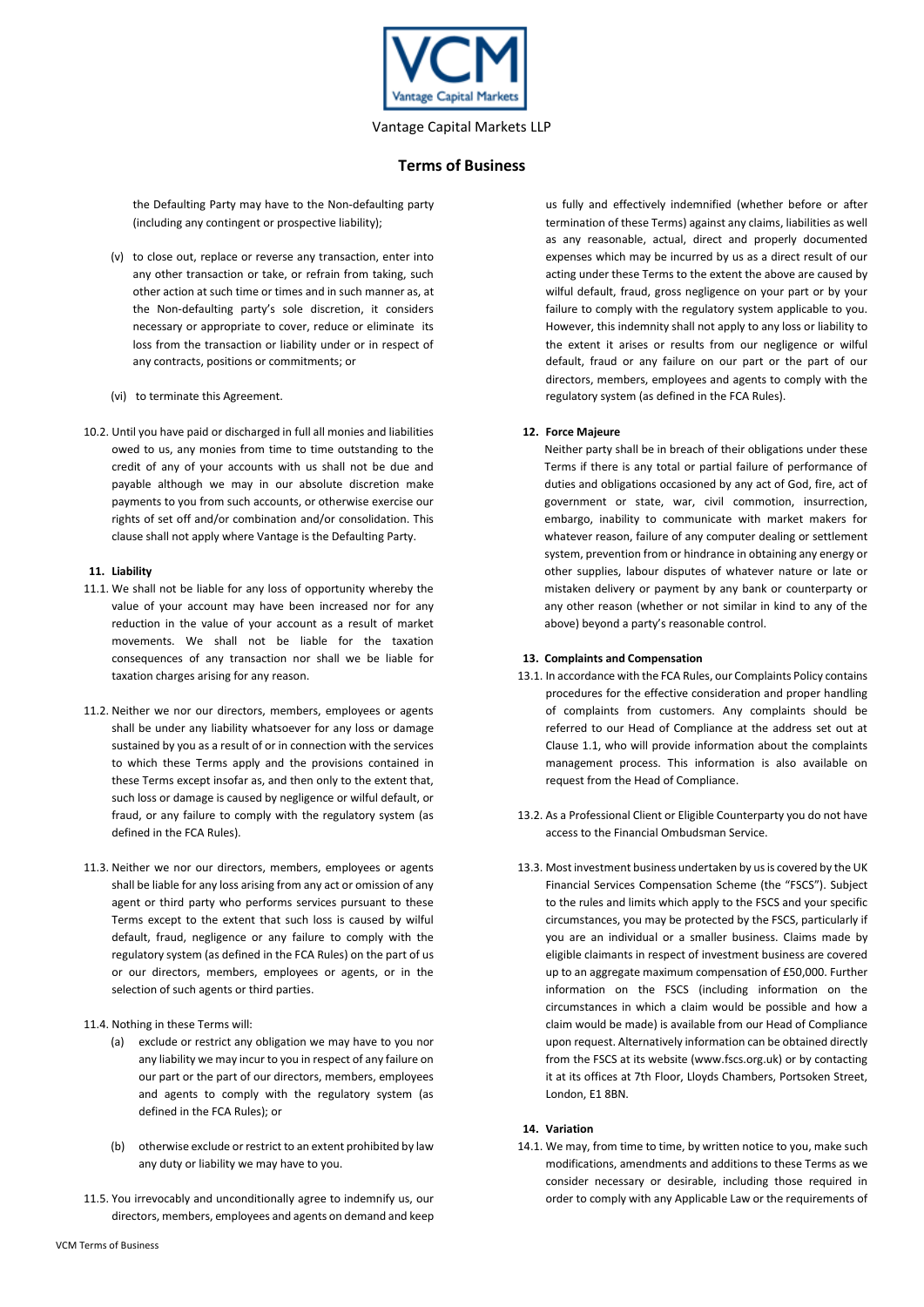

the Defaulting Party may have to the Non-defaulting party (including any contingent or prospective liability);

- (v) to close out, replace or reverse any transaction, enter into any other transaction or take, or refrain from taking, such other action at such time or times and in such manner as, at the Non-defaulting party's sole discretion, it considers necessary or appropriate to cover, reduce or eliminate its loss from the transaction or liability under or in respect of any contracts, positions or commitments; or
- (vi) to terminate this Agreement.
- 10.2. Until you have paid or discharged in full all monies and liabilities owed to us, any monies from time to time outstanding to the credit of any of your accounts with us shall not be due and payable although we may in our absolute discretion make payments to you from such accounts, or otherwise exercise our rights of set off and/or combination and/or consolidation. This clause shall not apply where Vantage is the Defaulting Party.

## **11. Liability**

- 11.1. We shall not be liable for any loss of opportunity whereby the value of your account may have been increased nor for any reduction in the value of your account as a result of market movements. We shall not be liable for the taxation consequences of any transaction nor shall we be liable for taxation charges arising for any reason.
- 11.2. Neither we nor our directors, members, employees or agents shall be under any liability whatsoever for any loss or damage sustained by you as a result of or in connection with the services to which these Terms apply and the provisions contained in these Terms except insofar as, and then only to the extent that, such loss or damage is caused by negligence or wilful default, or fraud, or any failure to comply with the regulatory system (as defined in the FCA Rules).
- 11.3. Neither we nor our directors, members, employees or agents shall be liable for any loss arising from any act or omission of any agent or third party who performs services pursuant to these Terms except to the extent that such loss is caused by wilful default, fraud, negligence or any failure to comply with the regulatory system (as defined in the FCA Rules) on the part of us or our directors, members, employees or agents, or in the selection of such agents or third parties.
- 11.4. Nothing in these Terms will:
	- (a) exclude or restrict any obligation we may have to you nor any liability we may incur to you in respect of any failure on our part or the part of our directors, members, employees and agents to comply with the regulatory system (as defined in the FCA Rules); or
	- (b) otherwise exclude or restrict to an extent prohibited by law any duty or liability we may have to you.
- 11.5. You irrevocably and unconditionally agree to indemnify us, our directors, members, employees and agents on demand and keep

us fully and effectively indemnified (whether before or after termination of these Terms) against any claims, liabilities as well as any reasonable, actual, direct and properly documented expenses which may be incurred by us as a direct result of our acting under these Terms to the extent the above are caused by wilful default, fraud, gross negligence on your part or by your failure to comply with the regulatory system applicable to you. However, this indemnity shall not apply to any loss or liability to the extent it arises or results from our negligence or wilful default, fraud or any failure on our part or the part of our directors, members, employees and agents to comply with the regulatory system (as defined in the FCA Rules).

## **12. Force Majeure**

Neither party shall be in breach of their obligations under these Terms if there is any total or partial failure of performance of duties and obligations occasioned by any act of God, fire, act of government or state, war, civil commotion, insurrection, embargo, inability to communicate with market makers for whatever reason, failure of any computer dealing or settlement system, prevention from or hindrance in obtaining any energy or other supplies, labour disputes of whatever nature or late or mistaken delivery or payment by any bank or counterparty or any other reason (whether or not similar in kind to any of the above) beyond a party's reasonable control.

#### **13. Complaints and Compensation**

- 13.1. In accordance with the FCA Rules, our Complaints Policy contains procedures for the effective consideration and proper handling of complaints from customers. Any complaints should be referred to our Head of Compliance at the address set out at Clause 1.1, who will provide information about the complaints management process. This information is also available on request from the Head of Compliance.
- 13.2. As a Professional Client or Eligible Counterparty you do not have access to the Financial Ombudsman Service.
- 13.3. Most investment business undertaken by us is covered by the UK Financial Services Compensation Scheme (the "FSCS"). Subject to the rules and limits which apply to the FSCS and your specific circumstances, you may be protected by the FSCS, particularly if you are an individual or a smaller business. Claims made by eligible claimants in respect of investment business are covered up to an aggregate maximum compensation of £50,000. Further information on the FSCS (including information on the circumstances in which a claim would be possible and how a claim would be made) is available from our Head of Compliance upon request. Alternatively information can be obtained directly from the FSCS at its website (www.fscs.org.uk) or by contacting it at its offices at 7th Floor, Lloyds Chambers, Portsoken Street, London, E1 8BN.

## **14. Variation**

14.1. We may, from time to time, by written notice to you, make such modifications, amendments and additions to these Terms as we consider necessary or desirable, including those required in order to comply with any Applicable Law or the requirements of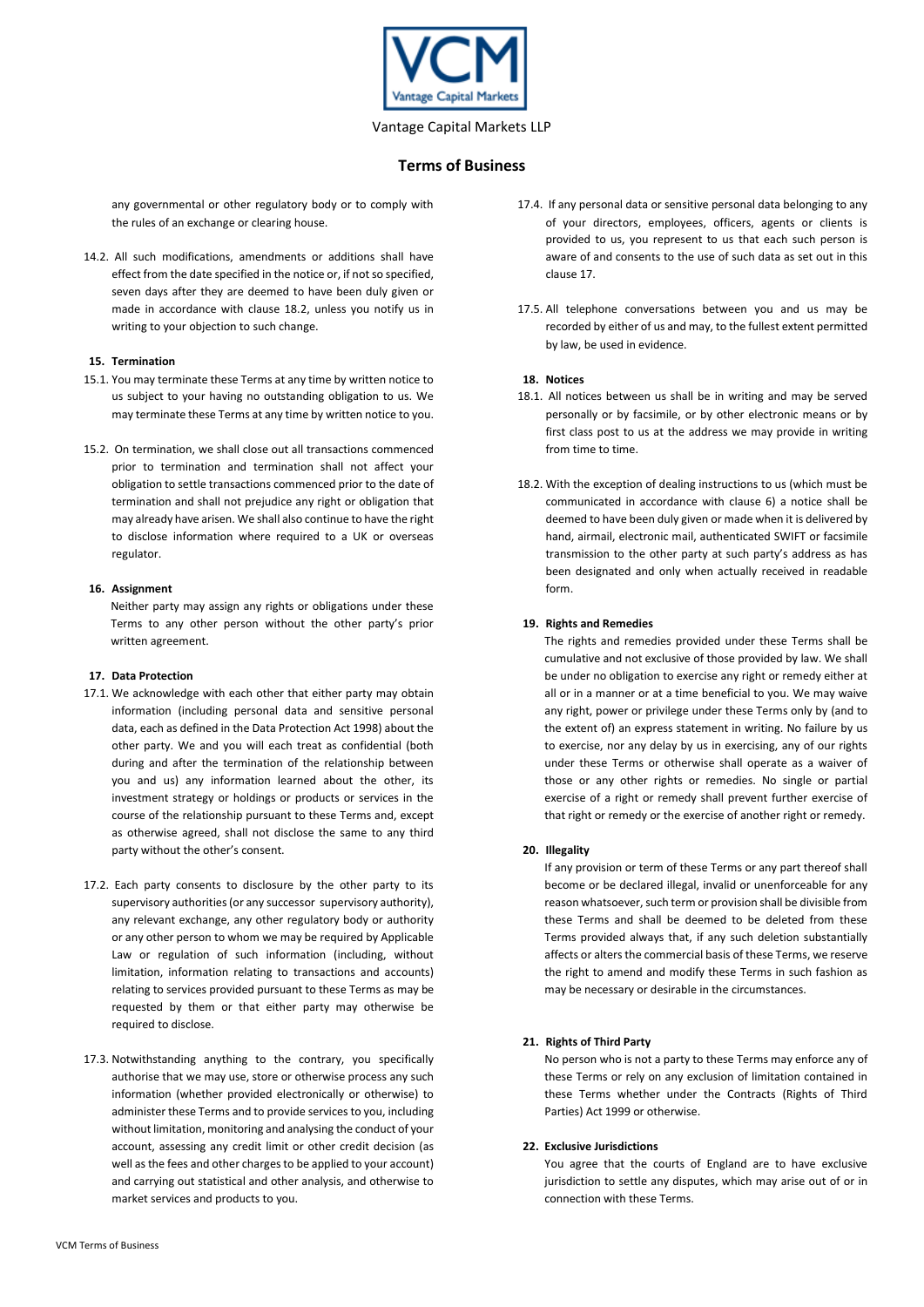

## **Terms of Business**

any governmental or other regulatory body or to comply with the rules of an exchange or clearing house.

14.2. All such modifications, amendments or additions shall have effect from the date specified in the notice or, if not so specified, seven days after they are deemed to have been duly given or made in accordance with clause 18.2, unless you notify us in writing to your objection to such change.

#### **15. Termination**

- 15.1. You may terminate these Terms at any time by written notice to us subject to your having no outstanding obligation to us. We may terminate these Terms at any time by written notice to you.
- 15.2. On termination, we shall close out all transactions commenced prior to termination and termination shall not affect your obligation to settle transactions commenced prior to the date of termination and shall not prejudice any right or obligation that may already have arisen. We shall also continue to have the right to disclose information where required to a UK or overseas regulator.

#### **16. Assignment**

Neither party may assign any rights or obligations under these Terms to any other person without the other party's prior written agreement.

## **17. Data Protection**

- 17.1. We acknowledge with each other that either party may obtain information (including personal data and sensitive personal data, each as defined in the Data Protection Act 1998) about the other party. We and you will each treat as confidential (both during and after the termination of the relationship between you and us) any information learned about the other, its investment strategy or holdings or products or services in the course of the relationship pursuant to these Terms and, except as otherwise agreed, shall not disclose the same to any third party without the other's consent.
- 17.2. Each party consents to disclosure by the other party to its supervisory authorities (or any successor supervisory authority), any relevant exchange, any other regulatory body or authority or any other person to whom we may be required by Applicable Law or regulation of such information (including, without limitation, information relating to transactions and accounts) relating to services provided pursuant to these Terms as may be requested by them or that either party may otherwise be required to disclose.
- 17.3. Notwithstanding anything to the contrary, you specifically authorise that we may use, store or otherwise process any such information (whether provided electronically or otherwise) to administer these Terms and to provide services to you, including without limitation, monitoring and analysing the conduct of your account, assessing any credit limit or other credit decision (as well as the fees and other charges to be applied to your account) and carrying out statistical and other analysis, and otherwise to market services and products to you.
- 17.4. If any personal data or sensitive personal data belonging to any of your directors, employees, officers, agents or clients is provided to us, you represent to us that each such person is aware of and consents to the use of such data as set out in this clause 17.
- 17.5. All telephone conversations between you and us may be recorded by either of us and may, to the fullest extent permitted by law, be used in evidence.

## **18. Notices**

- 18.1. All notices between us shall be in writing and may be served personally or by facsimile, or by other electronic means or by first class post to us at the address we may provide in writing from time to time.
- 18.2. With the exception of dealing instructions to us (which must be communicated in accordance with clause 6) a notice shall be deemed to have been duly given or made when it is delivered by hand, airmail, electronic mail, authenticated SWIFT or facsimile transmission to the other party at such party's address as has been designated and only when actually received in readable form.

## **19. Rights and Remedies**

The rights and remedies provided under these Terms shall be cumulative and not exclusive of those provided by law. We shall be under no obligation to exercise any right or remedy either at all or in a manner or at a time beneficial to you. We may waive any right, power or privilege under these Terms only by (and to the extent of) an express statement in writing. No failure by us to exercise, nor any delay by us in exercising, any of our rights under these Terms or otherwise shall operate as a waiver of those or any other rights or remedies. No single or partial exercise of a right or remedy shall prevent further exercise of that right or remedy or the exercise of another right or remedy.

## **20. Illegality**

If any provision or term of these Terms or any part thereof shall become or be declared illegal, invalid or unenforceable for any reason whatsoever, such term or provision shall be divisible from these Terms and shall be deemed to be deleted from these Terms provided always that, if any such deletion substantially affects or alters the commercial basis of these Terms, we reserve the right to amend and modify these Terms in such fashion as may be necessary or desirable in the circumstances.

## **21. Rights of Third Party**

No person who is not a party to these Terms may enforce any of these Terms or rely on any exclusion of limitation contained in these Terms whether under the Contracts (Rights of Third Parties) Act 1999 or otherwise.

## **22. Exclusive Jurisdictions**

You agree that the courts of England are to have exclusive jurisdiction to settle any disputes, which may arise out of or in connection with these Terms.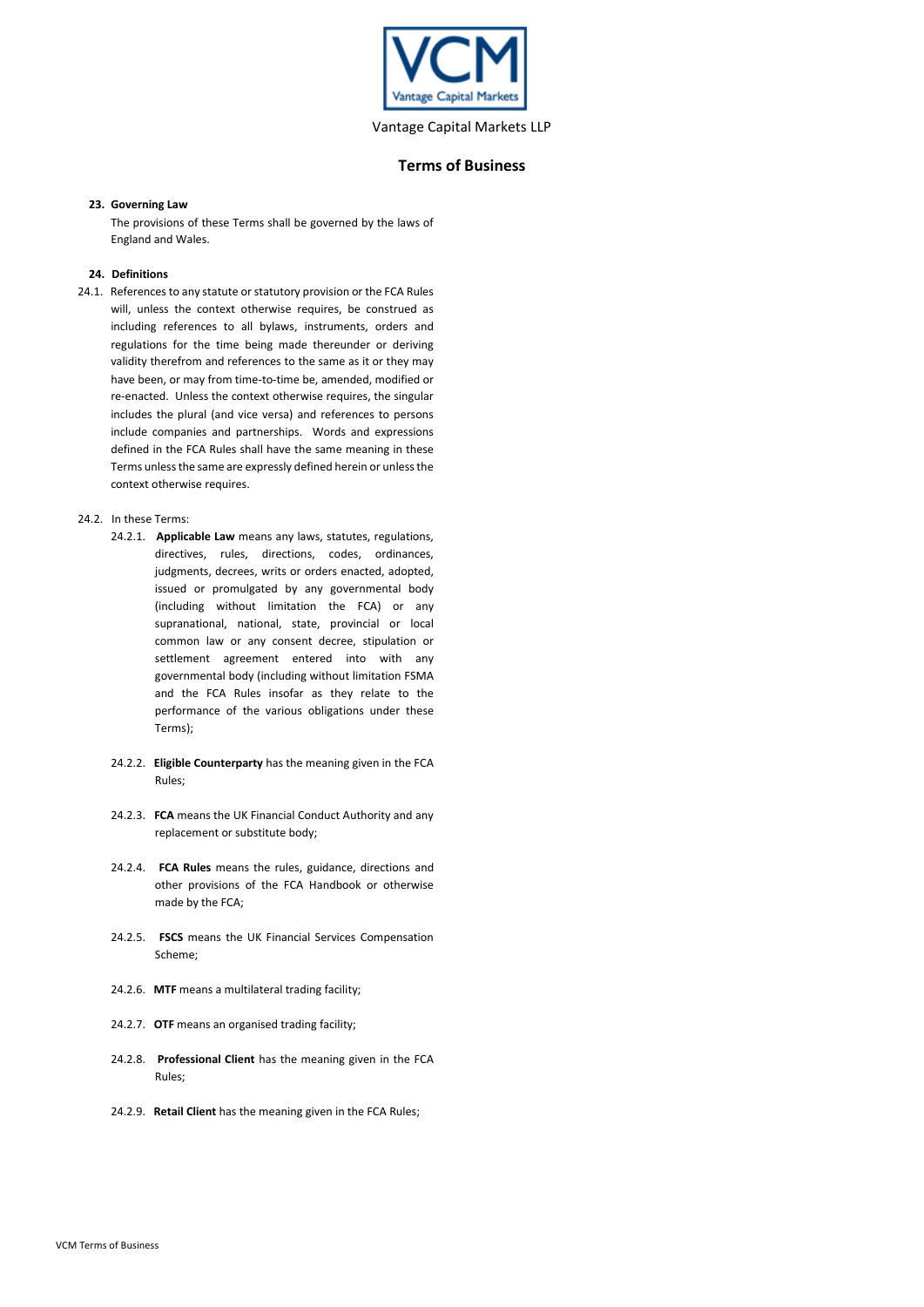

#### **23. Governing Law**

The provisions of these Terms shall be governed by the laws of England and Wales.

#### **24. Definitions**

24.1. References to any statute or statutory provision or the FCA Rules will, unless the context otherwise requires, be construed as including references to all bylaws, instruments, orders and regulations for the time being made thereunder or deriving validity therefrom and references to the same as it or they may have been, or may from time-to-time be, amended, modified or re-enacted. Unless the context otherwise requires, the singular includes the plural (and vice versa) and references to persons include companies and partnerships. Words and expressions defined in the FCA Rules shall have the same meaning in these Terms unless the same are expressly defined herein or unless the context otherwise requires.

## 24.2. In these Terms:

- 24.2.1. **Applicable Law** means any laws, statutes, regulations, directives, rules, directions, codes, ordinances, judgments, decrees, writs or orders enacted, adopted, issued or promulgated by any governmental body (including without limitation the FCA) or any supranational, national, state, provincial or local common law or any consent decree, stipulation or settlement agreement entered into with any governmental body (including without limitation FSMA and the FCA Rules insofar as they relate to the performance of the various obligations under these Terms);
- 24.2.2. **Eligible Counterparty** has the meaning given in the FCA Rules;
- 24.2.3. **FCA** means the UK Financial Conduct Authority and any replacement or substitute body;
- 24.2.4. **FCA Rules** means the rules, guidance, directions and other provisions of the FCA Handbook or otherwise made by the FCA;
- 24.2.5. **FSCS** means the UK Financial Services Compensation Scheme;
- 24.2.6. **MTF** means a multilateral trading facility;
- 24.2.7. **OTF** means an organised trading facility;
- 24.2.8. **Professional Client** has the meaning given in the FCA Rules;
- 24.2.9. **Retail Client** has the meaning given in the FCA Rules;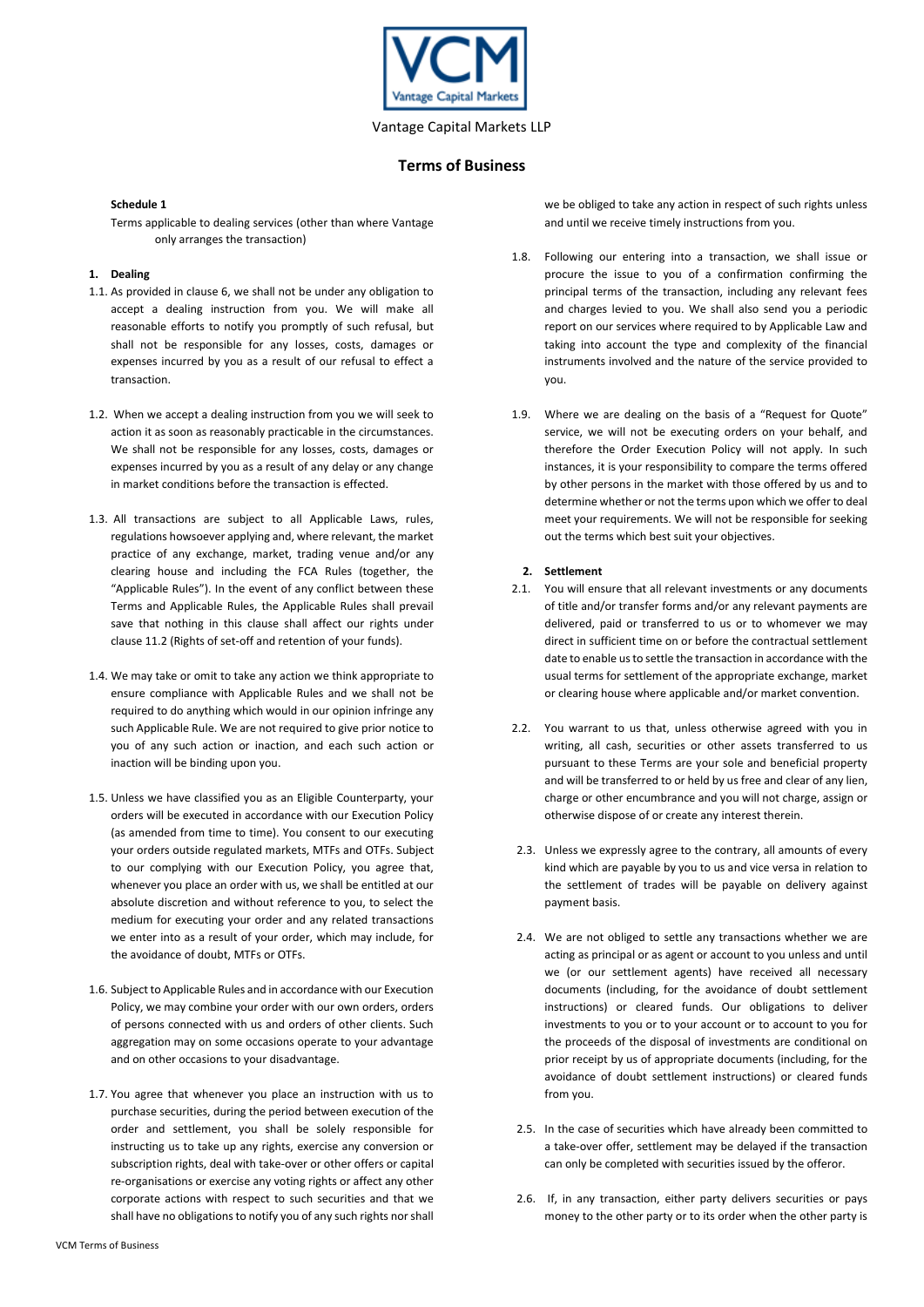

#### **Schedule 1**

Terms applicable to dealing services (other than where Vantage only arranges the transaction)

## **1. Dealing**

- 1.1. As provided in clause 6, we shall not be under any obligation to accept a dealing instruction from you. We will make all reasonable efforts to notify you promptly of such refusal, but shall not be responsible for any losses, costs, damages or expenses incurred by you as a result of our refusal to effect a transaction.
- 1.2. When we accept a dealing instruction from you we will seek to action it as soon as reasonably practicable in the circumstances. We shall not be responsible for any losses, costs, damages or expenses incurred by you as a result of any delay or any change in market conditions before the transaction is effected.
- 1.3. All transactions are subject to all Applicable Laws, rules, regulations howsoever applying and, where relevant, the market practice of any exchange, market, trading venue and/or any clearing house and including the FCA Rules (together, the "Applicable Rules"). In the event of any conflict between these Terms and Applicable Rules, the Applicable Rules shall prevail save that nothing in this clause shall affect our rights under clause 11.2 (Rights of set-off and retention of your funds).
- 1.4. We may take or omit to take any action we think appropriate to ensure compliance with Applicable Rules and we shall not be required to do anything which would in our opinion infringe any such Applicable Rule. We are not required to give prior notice to you of any such action or inaction, and each such action or inaction will be binding upon you.
- 1.5. Unless we have classified you as an Eligible Counterparty, your orders will be executed in accordance with our Execution Policy (as amended from time to time). You consent to our executing your orders outside regulated markets, MTFs and OTFs. Subject to our complying with our Execution Policy, you agree that, whenever you place an order with us, we shall be entitled at our absolute discretion and without reference to you, to select the medium for executing your order and any related transactions we enter into as a result of your order, which may include, for the avoidance of doubt, MTFs or OTFs.
- 1.6. Subject to Applicable Rules and in accordance with our Execution Policy, we may combine your order with our own orders, orders of persons connected with us and orders of other clients. Such aggregation may on some occasions operate to your advantage and on other occasions to your disadvantage.
- 1.7. You agree that whenever you place an instruction with us to purchase securities, during the period between execution of the order and settlement, you shall be solely responsible for instructing us to take up any rights, exercise any conversion or subscription rights, deal with take-over or other offers or capital re-organisations or exercise any voting rights or affect any other corporate actions with respect to such securities and that we shall have no obligations to notify you of any such rights nor shall

we be obliged to take any action in respect of such rights unless and until we receive timely instructions from you.

- 1.8. Following our entering into a transaction, we shall issue or procure the issue to you of a confirmation confirming the principal terms of the transaction, including any relevant fees and charges levied to you. We shall also send you a periodic report on our services where required to by Applicable Law and taking into account the type and complexity of the financial instruments involved and the nature of the service provided to you.
- 1.9. Where we are dealing on the basis of a "Request for Quote" service, we will not be executing orders on your behalf, and therefore the Order Execution Policy will not apply. In such instances, it is your responsibility to compare the terms offered by other persons in the market with those offered by us and to determine whether or not the terms upon which we offer to deal meet your requirements. We will not be responsible for seeking out the terms which best suit your objectives.

#### **2. Settlement**

- 2.1. You will ensure that all relevant investments or any documents of title and/or transfer forms and/or any relevant payments are delivered, paid or transferred to us or to whomever we may direct in sufficient time on or before the contractual settlement date to enable us to settle the transaction in accordance with the usual terms for settlement of the appropriate exchange, market or clearing house where applicable and/or market convention.
- 2.2. You warrant to us that, unless otherwise agreed with you in writing, all cash, securities or other assets transferred to us pursuant to these Terms are your sole and beneficial property and will be transferred to or held by us free and clear of any lien, charge or other encumbrance and you will not charge, assign or otherwise dispose of or create any interest therein.
- 2.3. Unless we expressly agree to the contrary, all amounts of every kind which are payable by you to us and vice versa in relation to the settlement of trades will be payable on delivery against payment basis.
- 2.4. We are not obliged to settle any transactions whether we are acting as principal or as agent or account to you unless and until we (or our settlement agents) have received all necessary documents (including, for the avoidance of doubt settlement instructions) or cleared funds. Our obligations to deliver investments to you or to your account or to account to you for the proceeds of the disposal of investments are conditional on prior receipt by us of appropriate documents (including, for the avoidance of doubt settlement instructions) or cleared funds from you.
- 2.5. In the case of securities which have already been committed to a take-over offer, settlement may be delayed if the transaction can only be completed with securities issued by the offeror.
- 2.6. If, in any transaction, either party delivers securities or pays money to the other party or to its order when the other party is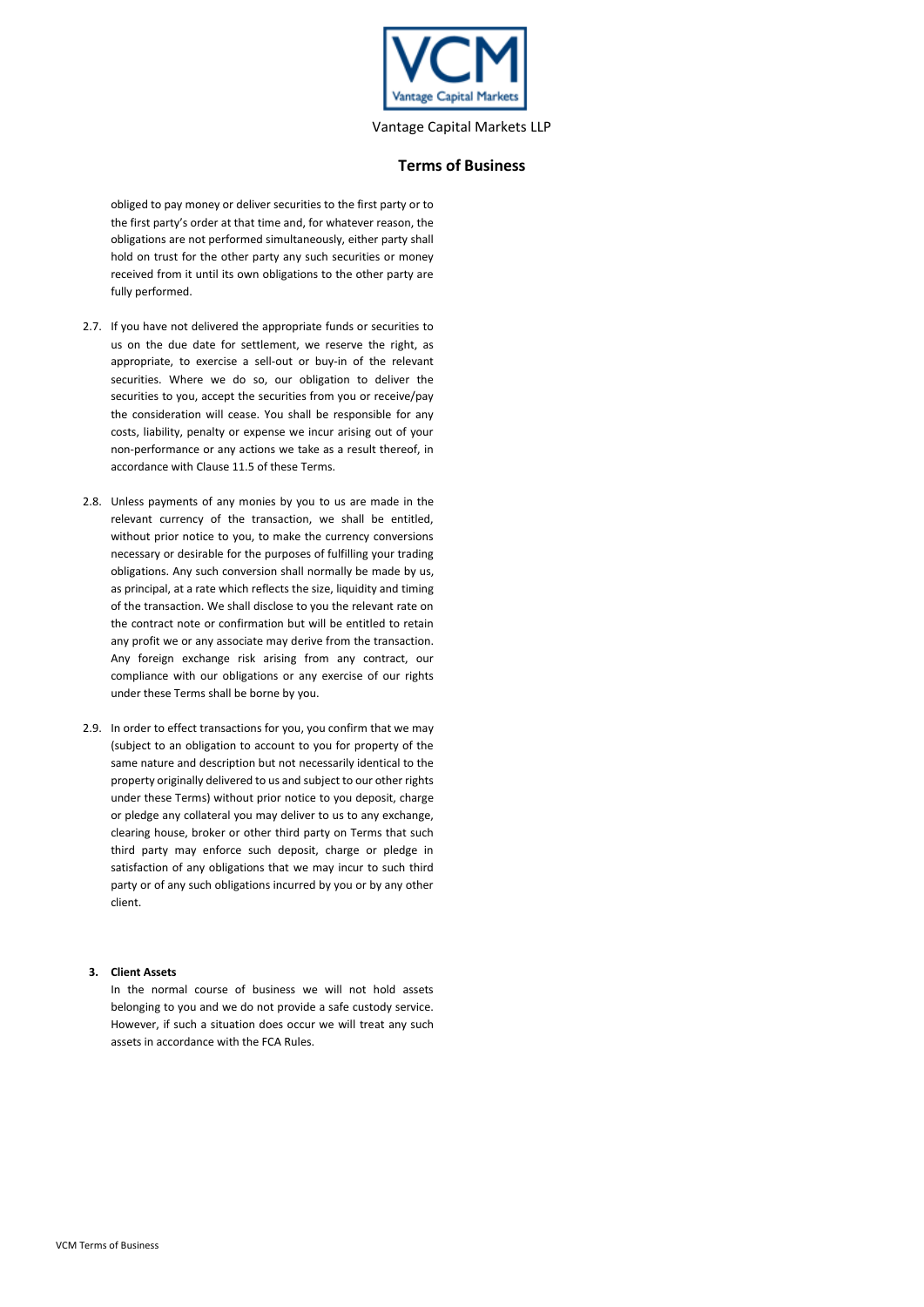

## **Terms of Business**

obliged to pay money or deliver securities to the first party or to the first party's order at that time and, for whatever reason, the obligations are not performed simultaneously, either party shall hold on trust for the other party any such securities or money received from it until its own obligations to the other party are fully performed.

- 2.7. If you have not delivered the appropriate funds or securities to us on the due date for settlement, we reserve the right, as appropriate, to exercise a sell-out or buy-in of the relevant securities. Where we do so, our obligation to deliver the securities to you, accept the securities from you or receive/pay the consideration will cease. You shall be responsible for any costs, liability, penalty or expense we incur arising out of your non-performance or any actions we take as a result thereof, in accordance with Clause 11.5 of these Terms.
- 2.8. Unless payments of any monies by you to us are made in the relevant currency of the transaction, we shall be entitled, without prior notice to you, to make the currency conversions necessary or desirable for the purposes of fulfilling your trading obligations. Any such conversion shall normally be made by us, as principal, at a rate which reflects the size, liquidity and timing of the transaction. We shall disclose to you the relevant rate on the contract note or confirmation but will be entitled to retain any profit we or any associate may derive from the transaction. Any foreign exchange risk arising from any contract, our compliance with our obligations or any exercise of our rights under these Terms shall be borne by you.
- 2.9. In order to effect transactions for you, you confirm that we may (subject to an obligation to account to you for property of the same nature and description but not necessarily identical to the property originally delivered to us and subject to our other rights under these Terms) without prior notice to you deposit, charge or pledge any collateral you may deliver to us to any exchange, clearing house, broker or other third party on Terms that such third party may enforce such deposit, charge or pledge in satisfaction of any obligations that we may incur to such third party or of any such obligations incurred by you or by any other client.

## **3. Client Assets**

In the normal course of business we will not hold assets belonging to you and we do not provide a safe custody service. However, if such a situation does occur we will treat any such assets in accordance with the FCA Rules.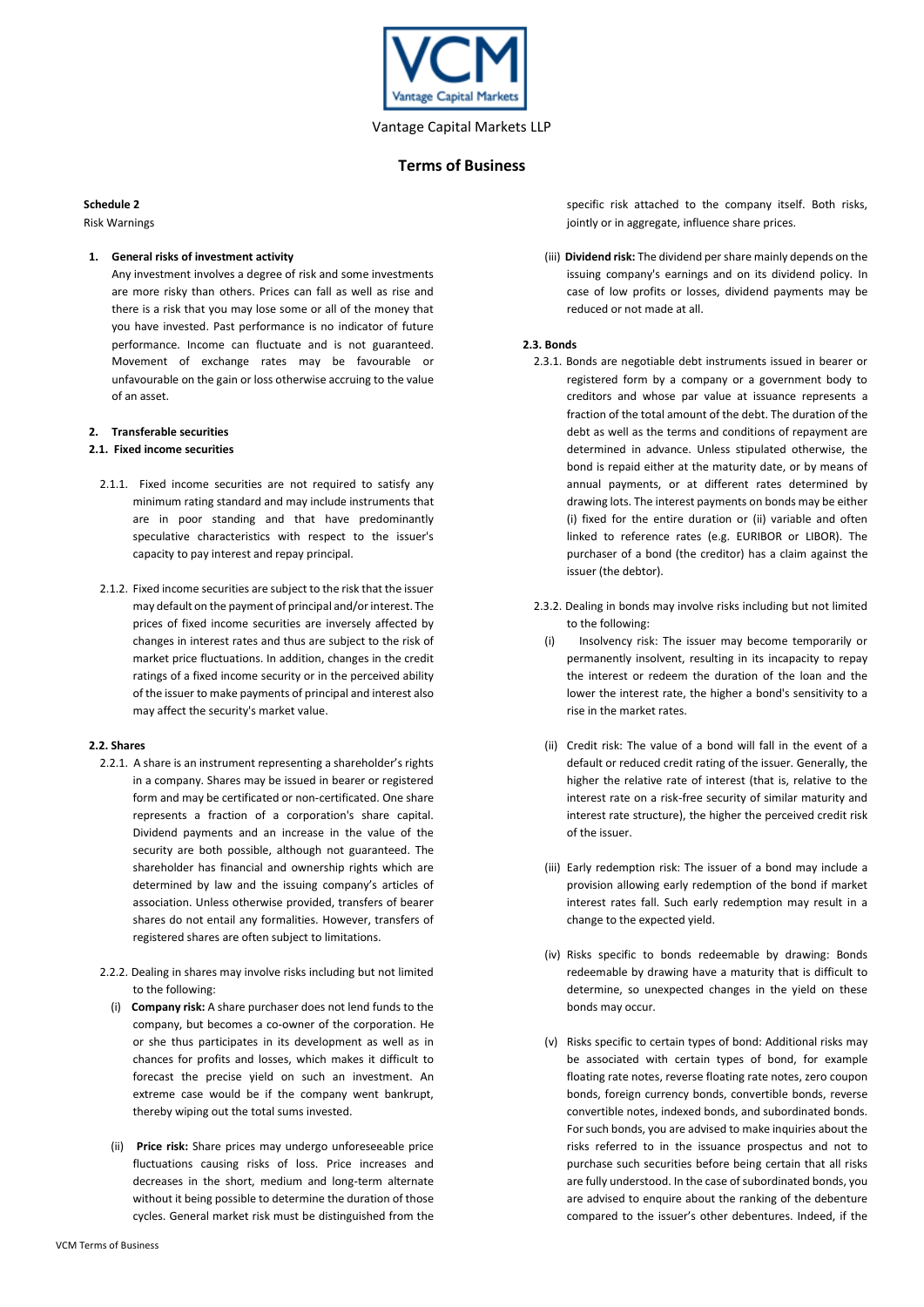

#### **Schedule 2**

Risk Warnings

## **1. General risks of investment activity**

Any investment involves a degree of risk and some investments are more risky than others. Prices can fall as well as rise and there is a risk that you may lose some or all of the money that you have invested. Past performance is no indicator of future performance. Income can fluctuate and is not guaranteed. Movement of exchange rates may be favourable or unfavourable on the gain or loss otherwise accruing to the value of an asset.

## **2. Transferable securities**

## **2.1. Fixed income securities**

- 2.1.1. Fixed income securities are not required to satisfy any minimum rating standard and may include instruments that are in poor standing and that have predominantly speculative characteristics with respect to the issuer's capacity to pay interest and repay principal.
- 2.1.2. Fixed income securities are subject to the risk that the issuer may default on the payment of principal and/or interest. The prices of fixed income securities are inversely affected by changes in interest rates and thus are subject to the risk of market price fluctuations. In addition, changes in the credit ratings of a fixed income security or in the perceived ability of the issuer to make payments of principal and interest also may affect the security's market value.

## **2.2. Shares**

- 2.2.1. A share is an instrument representing a shareholder's rights in a company. Shares may be issued in bearer or registered form and may be certificated or non-certificated. One share represents a fraction of a corporation's share capital. Dividend payments and an increase in the value of the security are both possible, although not guaranteed. The shareholder has financial and ownership rights which are determined by law and the issuing company's articles of association. Unless otherwise provided, transfers of bearer shares do not entail any formalities. However, transfers of registered shares are often subject to limitations.
- 2.2.2. Dealing in shares may involve risks including but not limited to the following:
	- (i) **Company risk:** A share purchaser does not lend funds to the company, but becomes a co-owner of the corporation. He or she thus participates in its development as well as in chances for profits and losses, which makes it difficult to forecast the precise yield on such an investment. An extreme case would be if the company went bankrupt, thereby wiping out the total sums invested.
	- (ii) **Price risk:** Share prices may undergo unforeseeable price fluctuations causing risks of loss. Price increases and decreases in the short, medium and long-term alternate without it being possible to determine the duration of those cycles. General market risk must be distinguished from the

specific risk attached to the company itself. Both risks, jointly or in aggregate, influence share prices.

(iii) **Dividend risk:** The dividend per share mainly depends on the issuing company's earnings and on its dividend policy. In case of low profits or losses, dividend payments may be reduced or not made at all.

## **2.3. Bonds**

- 2.3.1. Bonds are negotiable debt instruments issued in bearer or registered form by a company or a government body to creditors and whose par value at issuance represents a fraction of the total amount of the debt. The duration of the debt as well as the terms and conditions of repayment are determined in advance. Unless stipulated otherwise, the bond is repaid either at the maturity date, or by means of annual payments, or at different rates determined by drawing lots. The interest payments on bonds may be either (i) fixed for the entire duration or (ii) variable and often linked to reference rates (e.g. EURIBOR or LIBOR). The purchaser of a bond (the creditor) has a claim against the issuer (the debtor).
- 2.3.2. Dealing in bonds may involve risks including but not limited to the following:
	- (i) Insolvency risk: The issuer may become temporarily or permanently insolvent, resulting in its incapacity to repay the interest or redeem the duration of the loan and the lower the interest rate, the higher a bond's sensitivity to a rise in the market rates.
	- (ii) Credit risk: The value of a bond will fall in the event of a default or reduced credit rating of the issuer. Generally, the higher the relative rate of interest (that is, relative to the interest rate on a risk-free security of similar maturity and interest rate structure), the higher the perceived credit risk of the issuer.
	- (iii) Early redemption risk: The issuer of a bond may include a provision allowing early redemption of the bond if market interest rates fall. Such early redemption may result in a change to the expected yield.
	- (iv) Risks specific to bonds redeemable by drawing: Bonds redeemable by drawing have a maturity that is difficult to determine, so unexpected changes in the yield on these bonds may occur.
	- (v) Risks specific to certain types of bond: Additional risks may be associated with certain types of bond, for example floating rate notes, reverse floating rate notes, zero coupon bonds, foreign currency bonds, convertible bonds, reverse convertible notes, indexed bonds, and subordinated bonds. For such bonds, you are advised to make inquiries about the risks referred to in the issuance prospectus and not to purchase such securities before being certain that all risks are fully understood. In the case of subordinated bonds, you are advised to enquire about the ranking of the debenture compared to the issuer's other debentures. Indeed, if the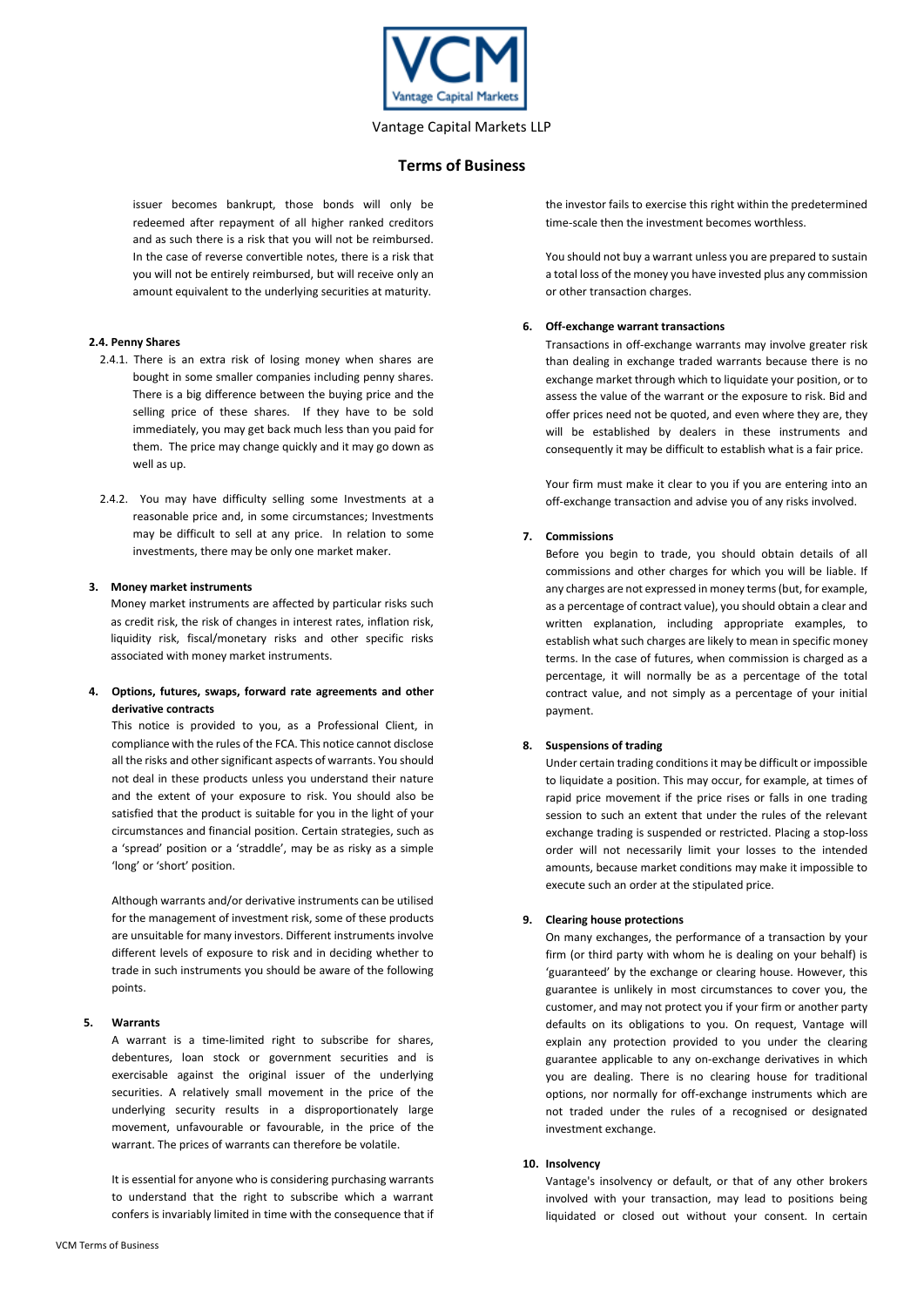

## **Terms of Business**

issuer becomes bankrupt, those bonds will only be redeemed after repayment of all higher ranked creditors and as such there is a risk that you will not be reimbursed. In the case of reverse convertible notes, there is a risk that you will not be entirely reimbursed, but will receive only an amount equivalent to the underlying securities at maturity.

#### **2.4. Penny Shares**

- 2.4.1. There is an extra risk of losing money when shares are bought in some smaller companies including penny shares. There is a big difference between the buying price and the selling price of these shares. If they have to be sold immediately, you may get back much less than you paid for them. The price may change quickly and it may go down as well as up.
- 2.4.2. You may have difficulty selling some Investments at a reasonable price and, in some circumstances; Investments may be difficult to sell at any price. In relation to some investments, there may be only one market maker.

#### **3. Money market instruments**

Money market instruments are affected by particular risks such as credit risk, the risk of changes in interest rates, inflation risk, liquidity risk, fiscal/monetary risks and other specific risks associated with money market instruments.

**4. Options, futures, swaps, forward rate agreements and other derivative contracts** 

This notice is provided to you, as a Professional Client, in compliance with the rules of the FCA. This notice cannot disclose all the risks and other significant aspects of warrants. You should not deal in these products unless you understand their nature and the extent of your exposure to risk. You should also be satisfied that the product is suitable for you in the light of your circumstances and financial position. Certain strategies, such as a 'spread' position or a 'straddle', may be as risky as a simple 'long' or 'short' position.

Although warrants and/or derivative instruments can be utilised for the management of investment risk, some of these products are unsuitable for many investors. Different instruments involve different levels of exposure to risk and in deciding whether to trade in such instruments you should be aware of the following points.

#### **5. Warrants**

A warrant is a time-limited right to subscribe for shares, debentures, loan stock or government securities and is exercisable against the original issuer of the underlying securities. A relatively small movement in the price of the underlying security results in a disproportionately large movement, unfavourable or favourable, in the price of the warrant. The prices of warrants can therefore be volatile.

It is essential for anyone who is considering purchasing warrants to understand that the right to subscribe which a warrant confers is invariably limited in time with the consequence that if

the investor fails to exercise this right within the predetermined time-scale then the investment becomes worthless.

You should not buy a warrant unless you are prepared to sustain a total loss of the money you have invested plus any commission or other transaction charges.

#### **6. Off-exchange warrant transactions**

Transactions in off-exchange warrants may involve greater risk than dealing in exchange traded warrants because there is no exchange market through which to liquidate your position, or to assess the value of the warrant or the exposure to risk. Bid and offer prices need not be quoted, and even where they are, they will be established by dealers in these instruments and consequently it may be difficult to establish what is a fair price.

Your firm must make it clear to you if you are entering into an off-exchange transaction and advise you of any risks involved.

## **7. Commissions**

Before you begin to trade, you should obtain details of all commissions and other charges for which you will be liable. If any charges are not expressed in money terms (but, for example, as a percentage of contract value), you should obtain a clear and written explanation, including appropriate examples, to establish what such charges are likely to mean in specific money terms. In the case of futures, when commission is charged as a percentage, it will normally be as a percentage of the total contract value, and not simply as a percentage of your initial payment.

## **8. Suspensions of trading**

Under certain trading conditions it may be difficult or impossible to liquidate a position. This may occur, for example, at times of rapid price movement if the price rises or falls in one trading session to such an extent that under the rules of the relevant exchange trading is suspended or restricted. Placing a stop-loss order will not necessarily limit your losses to the intended amounts, because market conditions may make it impossible to execute such an order at the stipulated price.

#### **9. Clearing house protections**

On many exchanges, the performance of a transaction by your firm (or third party with whom he is dealing on your behalf) is 'guaranteed' by the exchange or clearing house. However, this guarantee is unlikely in most circumstances to cover you, the customer, and may not protect you if your firm or another party defaults on its obligations to you. On request, Vantage will explain any protection provided to you under the clearing guarantee applicable to any on-exchange derivatives in which you are dealing. There is no clearing house for traditional options, nor normally for off-exchange instruments which are not traded under the rules of a recognised or designated investment exchange.

## **10. Insolvency**

Vantage's insolvency or default, or that of any other brokers involved with your transaction, may lead to positions being liquidated or closed out without your consent. In certain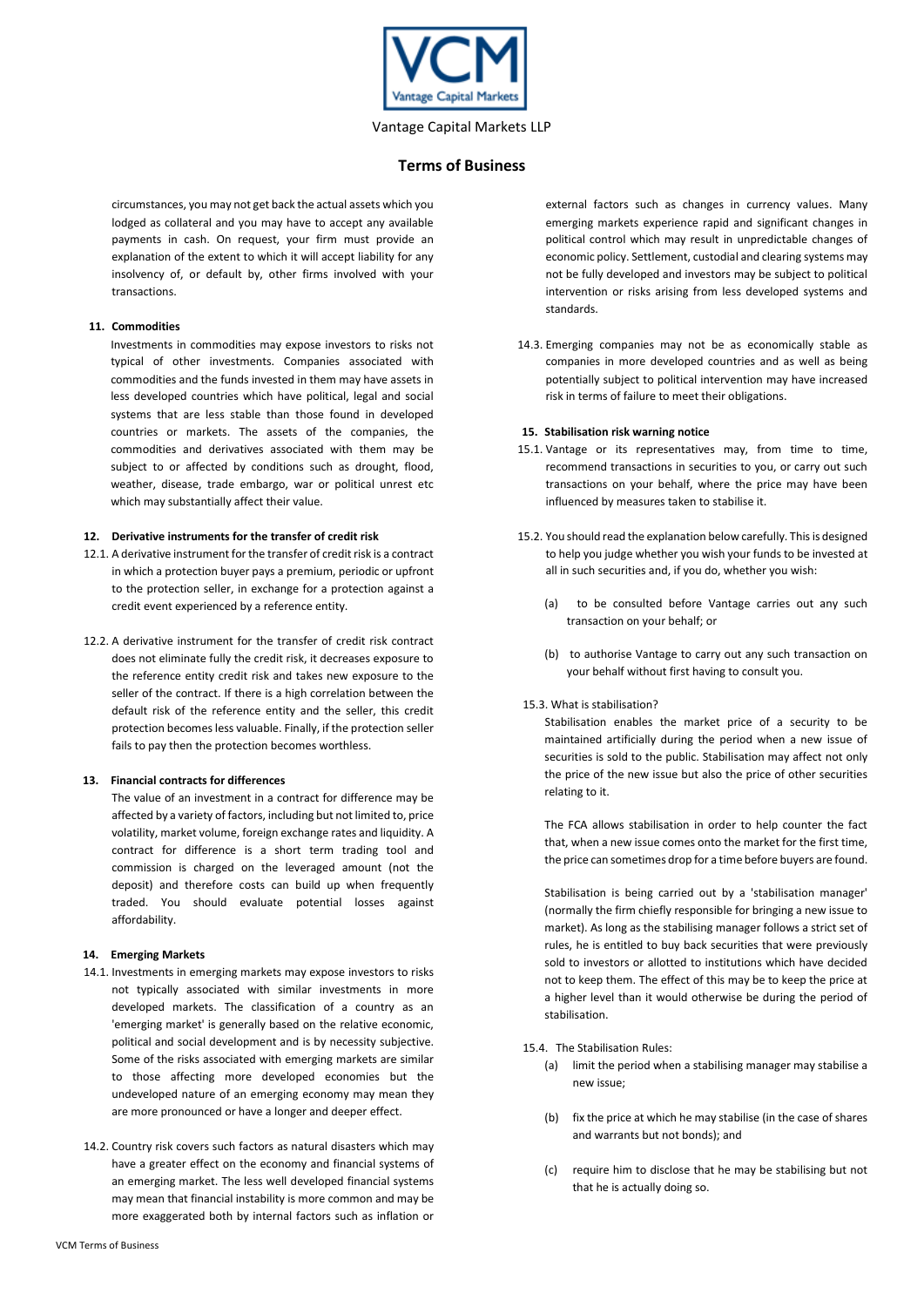

## **Terms of Business**

circumstances, you may not get back the actual assets which you lodged as collateral and you may have to accept any available payments in cash. On request, your firm must provide an explanation of the extent to which it will accept liability for any insolvency of, or default by, other firms involved with your transactions.

#### **11. Commodities**

Investments in commodities may expose investors to risks not typical of other investments. Companies associated with commodities and the funds invested in them may have assets in less developed countries which have political, legal and social systems that are less stable than those found in developed countries or markets. The assets of the companies, the commodities and derivatives associated with them may be subject to or affected by conditions such as drought, flood, weather, disease, trade embargo, war or political unrest etc which may substantially affect their value.

## **12. Derivative instruments for the transfer of credit risk**

- 12.1. A derivative instrument for the transfer of credit risk is a contract in which a protection buyer pays a premium, periodic or upfront to the protection seller, in exchange for a protection against a credit event experienced by a reference entity.
- 12.2. A derivative instrument for the transfer of credit risk contract does not eliminate fully the credit risk, it decreases exposure to the reference entity credit risk and takes new exposure to the seller of the contract. If there is a high correlation between the default risk of the reference entity and the seller, this credit protection becomes less valuable. Finally, if the protection seller fails to pay then the protection becomes worthless.

#### **13. Financial contracts for differences**

The value of an investment in a contract for difference may be affected by a variety of factors, including but not limited to, price volatility, market volume, foreign exchange rates and liquidity. A contract for difference is a short term trading tool and commission is charged on the leveraged amount (not the deposit) and therefore costs can build up when frequently traded. You should evaluate potential losses against affordability.

#### **14. Emerging Markets**

- 14.1. Investments in emerging markets may expose investors to risks not typically associated with similar investments in more developed markets. The classification of a country as an 'emerging market' is generally based on the relative economic, political and social development and is by necessity subjective. Some of the risks associated with emerging markets are similar to those affecting more developed economies but the undeveloped nature of an emerging economy may mean they are more pronounced or have a longer and deeper effect.
- 14.2. Country risk covers such factors as natural disasters which may have a greater effect on the economy and financial systems of an emerging market. The less well developed financial systems may mean that financial instability is more common and may be more exaggerated both by internal factors such as inflation or

external factors such as changes in currency values. Many emerging markets experience rapid and significant changes in political control which may result in unpredictable changes of economic policy. Settlement, custodial and clearing systems may not be fully developed and investors may be subject to political intervention or risks arising from less developed systems and standards.

14.3. Emerging companies may not be as economically stable as companies in more developed countries and as well as being potentially subject to political intervention may have increased risk in terms of failure to meet their obligations.

## **15. Stabilisation risk warning notice**

- 15.1. Vantage or its representatives may, from time to time, recommend transactions in securities to you, or carry out such transactions on your behalf, where the price may have been influenced by measures taken to stabilise it.
- 15.2. You should read the explanation below carefully. This is designed to help you judge whether you wish your funds to be invested at all in such securities and, if you do, whether you wish:
	- (a) to be consulted before Vantage carries out any such transaction on your behalf; or
	- (b) to authorise Vantage to carry out any such transaction on your behalf without first having to consult you.

#### 15.3. What is stabilisation?

 Stabilisation enables the market price of a security to be maintained artificially during the period when a new issue of securities is sold to the public. Stabilisation may affect not only the price of the new issue but also the price of other securities relating to it.

The FCA allows stabilisation in order to help counter the fact that, when a new issue comes onto the market for the first time, the price can sometimes drop for a time before buyers are found.

Stabilisation is being carried out by a 'stabilisation manager' (normally the firm chiefly responsible for bringing a new issue to market). As long as the stabilising manager follows a strict set of rules, he is entitled to buy back securities that were previously sold to investors or allotted to institutions which have decided not to keep them. The effect of this may be to keep the price at a higher level than it would otherwise be during the period of stabilisation.

15.4. The Stabilisation Rules:

- (a) limit the period when a stabilising manager may stabilise a new issue;
- (b) fix the price at which he may stabilise (in the case of shares and warrants but not bonds); and
- (c) require him to disclose that he may be stabilising but not that he is actually doing so.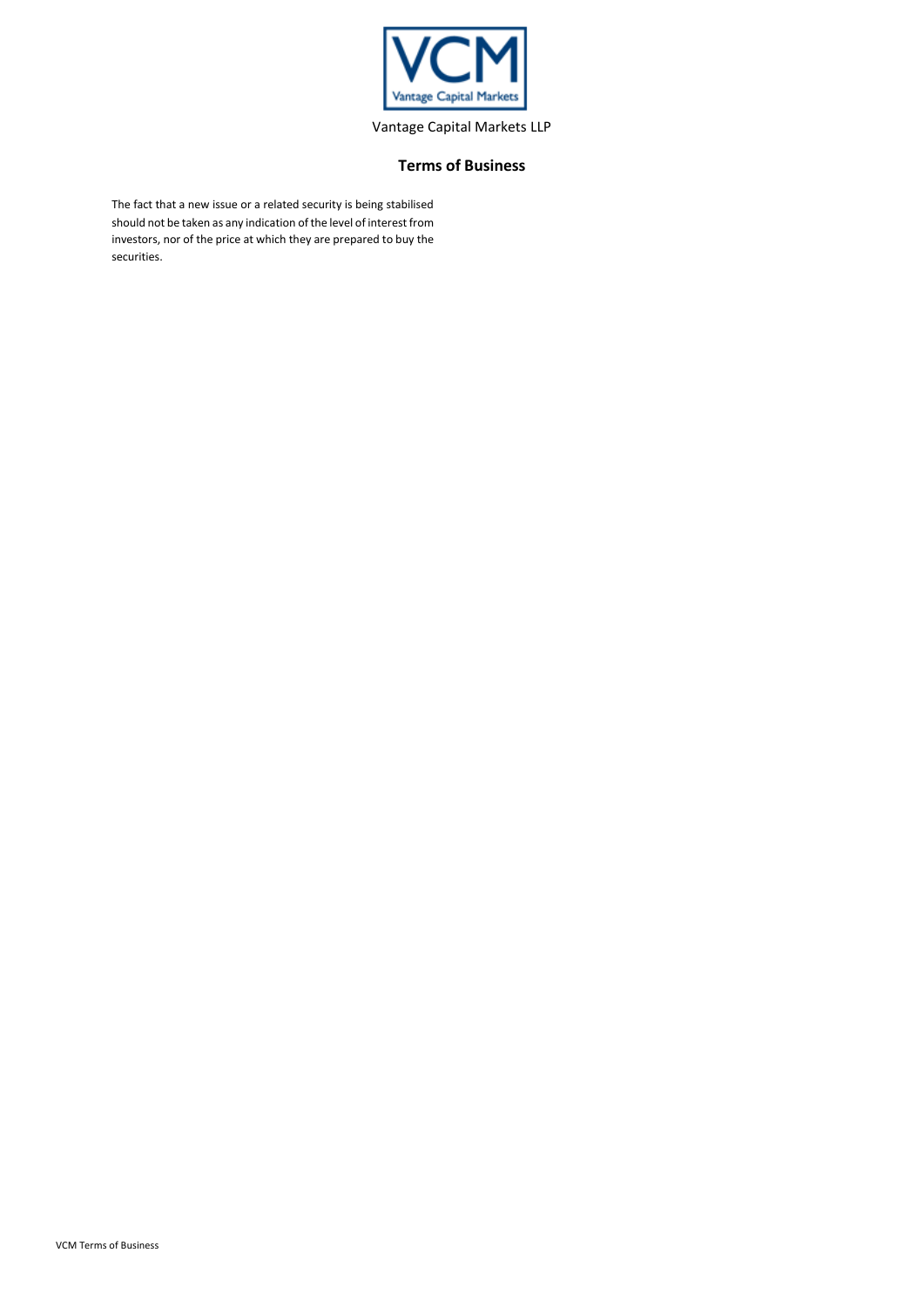

# **Terms of Business**

The fact that a new issue or a related security is being stabilised should not be taken as any indication of the level of interest from investors, nor of the price at which they are prepared to buy the securities.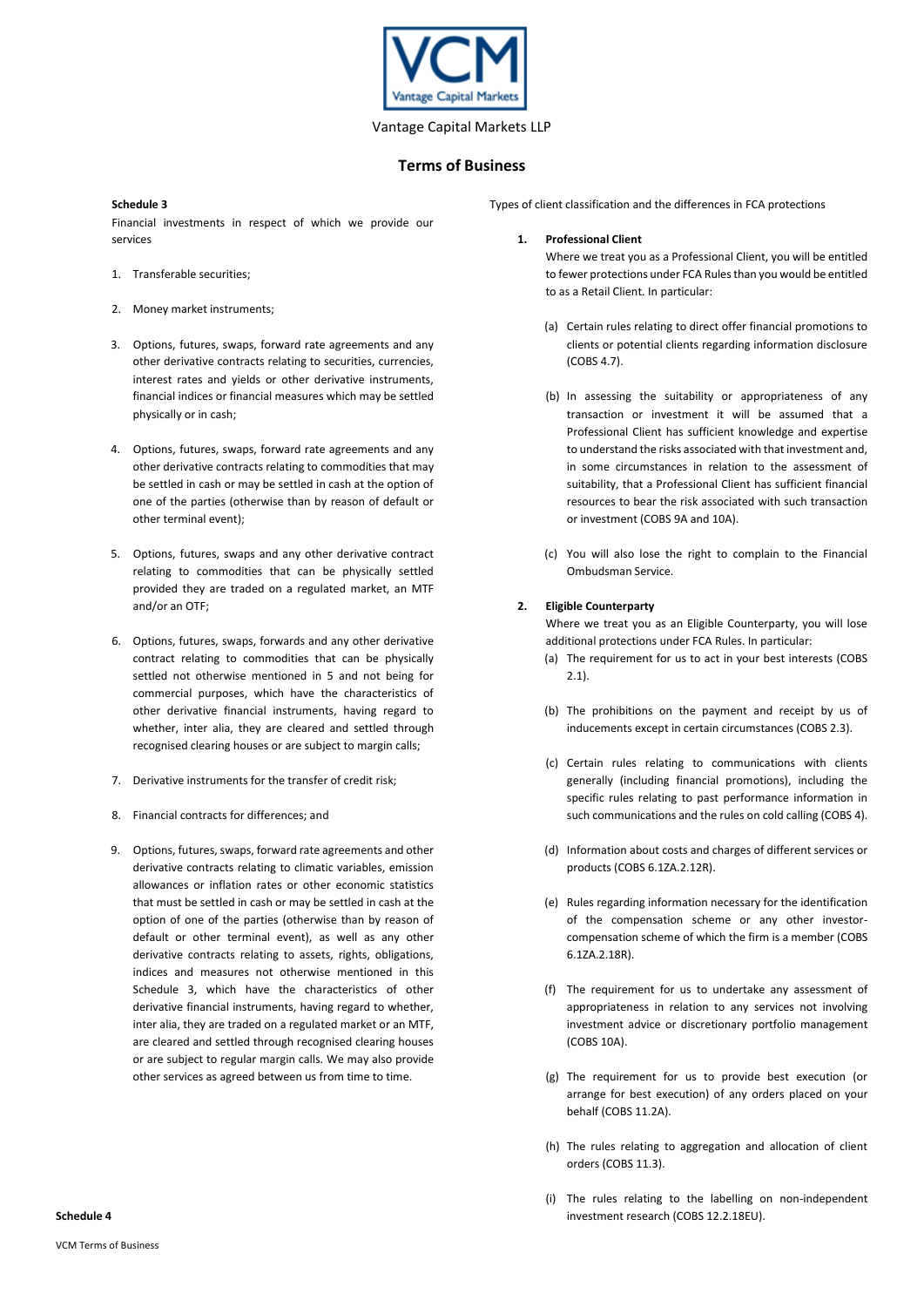

## **Terms of Business**

#### **Schedule 3**

Financial investments in respect of which we provide our services

- 1. Transferable securities;
- 2. Money market instruments;
- 3. Options, futures, swaps, forward rate agreements and any other derivative contracts relating to securities, currencies, interest rates and yields or other derivative instruments, financial indices or financial measures which may be settled physically or in cash;
- 4. Options, futures, swaps, forward rate agreements and any other derivative contracts relating to commodities that may be settled in cash or may be settled in cash at the option of one of the parties (otherwise than by reason of default or other terminal event);
- 5. Options, futures, swaps and any other derivative contract relating to commodities that can be physically settled provided they are traded on a regulated market, an MTF and/or an OTF;
- 6. Options, futures, swaps, forwards and any other derivative contract relating to commodities that can be physically settled not otherwise mentioned in 5 and not being for commercial purposes, which have the characteristics of other derivative financial instruments, having regard to whether, inter alia, they are cleared and settled through recognised clearing houses or are subject to margin calls;
- 7. Derivative instruments for the transfer of credit risk;
- 8. Financial contracts for differences; and
- 9. Options, futures, swaps, forward rate agreements and other derivative contracts relating to climatic variables, emission allowances or inflation rates or other economic statistics that must be settled in cash or may be settled in cash at the option of one of the parties (otherwise than by reason of default or other terminal event), as well as any other derivative contracts relating to assets, rights, obligations, indices and measures not otherwise mentioned in this Schedule 3, which have the characteristics of other derivative financial instruments, having regard to whether, inter alia, they are traded on a regulated market or an MTF, are cleared and settled through recognised clearing houses or are subject to regular margin calls. We may also provide other services as agreed between us from time to time.

Types of client classification and the differences in FCA protections

## **1. Professional Client**

Where we treat you as a Professional Client, you will be entitled to fewer protections under FCA Rules than you would be entitled to as a Retail Client. In particular:

- (a) Certain rules relating to direct offer financial promotions to clients or potential clients regarding information disclosure (COBS 4.7).
- (b) In assessing the suitability or appropriateness of any transaction or investment it will be assumed that a Professional Client has sufficient knowledge and expertise to understand the risks associated with that investment and, in some circumstances in relation to the assessment of suitability, that a Professional Client has sufficient financial resources to bear the risk associated with such transaction or investment (COBS 9A and 10A).
- (c) You will also lose the right to complain to the Financial Ombudsman Service.

## **2. Eligible Counterparty**

Where we treat you as an Eligible Counterparty, you will lose additional protections under FCA Rules. In particular:

- (a) The requirement for us to act in your best interests (COBS 2.1).
- (b) The prohibitions on the payment and receipt by us of inducements except in certain circumstances (COBS 2.3).
- (c) Certain rules relating to communications with clients generally (including financial promotions), including the specific rules relating to past performance information in such communications and the rules on cold calling (COBS 4).
- (d) Information about costs and charges of different services or products (COBS 6.1ZA.2.12R).
- (e) Rules regarding information necessary for the identification of the compensation scheme or any other investorcompensation scheme of which the firm is a member (COBS 6.1ZA.2.18R).
- (f) The requirement for us to undertake any assessment of appropriateness in relation to any services not involving investment advice or discretionary portfolio management (COBS 10A).
- (g) The requirement for us to provide best execution (or arrange for best execution) of any orders placed on your behalf (COBS 11.2A).
- (h) The rules relating to aggregation and allocation of client orders (COBS 11.3).
- (i) The rules relating to the labelling on non-independent investment research (COBS 12.2.18EU).